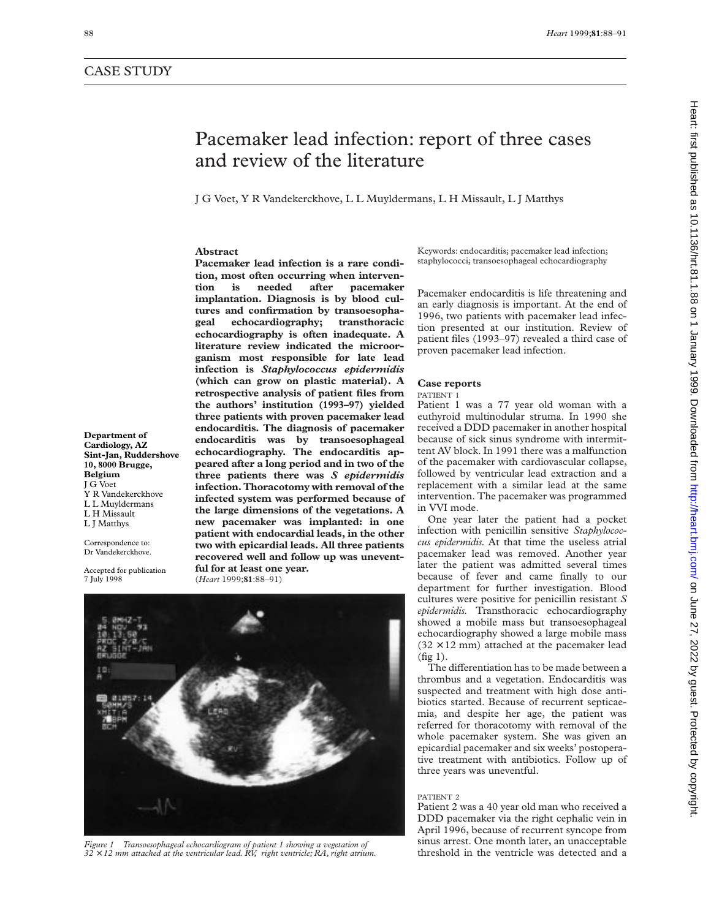## CASE STUDY

# Pacemaker lead infection: report of three cases and review of the literature

J G Voet, Y R Vandekerckhove, L L Muyldermans, L H Missault, L J Matthys

#### **Abstract**

**Pacemaker lead infection is a rare condition, most often occurring when intervention is needed after pacemaker implantation. Diagnosis is by blood cultures and confirmation by transoesophageal echocardiography; transthoracic echocardiography is often inadequate. A literature review indicated the microorganism most responsible for late lead infection is** *Staphylococcus epidermidis* **(which can grow on plastic material). A retrospective analysis of patient files from the authors' institution (1993–97) yielded three patients with proven pacemaker lead endocarditis. The diagnosis of pacemaker endocarditis was by transoesophageal echocardiography. The endocarditis appeared after a long period and in two of the three patients there was** *S epidermidis* **infection. Thoracotomy with removal of the infected system was performed because of the large dimensions of the vegetations. A new pacemaker was implanted: in one patient with endocardial leads, in the other two with epicardial leads. All three patients recovered well and follow up was uneventful for at least one year.** (*Heart* 1999;**81**:88–91)

**Department of Cardiology, AZ Sint-Jan, Ruddershove 10, 8000 Brugge, Belgium** J G Voet Y R Vandekerckhove L L Muyldermans L H Missault L J Matthys

Correspondence to: Dr Vandekerckhove.

Accepted for publication 7 July 1998



Figure 1 Transoesophageal echocardiogram of patient 1 showing a vegetation of SILUS artest. One month fater, an unacceptable<br>32 × 12 mm attached at the ventricular lead. RV, right ventricle; RA, right atrium. Threshold in

Keywords: endocarditis; pacemaker lead infection; staphylococci; transoesophageal echocardiography

Pacemaker endocarditis is life threatening and an early diagnosis is important. At the end of 1996, two patients with pacemaker lead infection presented at our institution. Review of patient files (1993–97) revealed a third case of proven pacemaker lead infection.

### **Case reports**

#### PATIENT 1

Patient 1 was a 77 year old woman with a euthyroid multinodular struma. In 1990 she received a DDD pacemaker in another hospital because of sick sinus syndrome with intermittent AV block. In 1991 there was a malfunction of the pacemaker with cardiovascular collapse, followed by ventricular lead extraction and a replacement with a similar lead at the same intervention. The pacemaker was programmed in VVI mode.

One year later the patient had a pocket infection with penicillin sensitive *Staphylococcus epidermidis.* At that time the useless atrial pacemaker lead was removed. Another year later the patient was admitted several times because of fever and came finally to our department for further investigation. Blood cultures were positive for penicillin resistant *S epidermidis.* Transthoracic echocardiography showed a mobile mass but transoesophageal echocardiography showed a large mobile mass  $(32 \times 12 \text{ mm})$  attached at the pacemaker lead (fig 1).

The differentiation has to be made between a thrombus and a vegetation. Endocarditis was suspected and treatment with high dose antibiotics started. Because of recurrent septicaemia, and despite her age, the patient was referred for thoracotomy with removal of the whole pacemaker system. She was given an epicardial pacemaker and six weeks' postoperative treatment with antibiotics. Follow up of three years was uneventful.

### PATIENT 2

Patient 2 was a 40 year old man who received a DDD pacemaker via the right cephalic vein in April 1996, because of recurrent syncope from sinus arrest. One month later, an unacceptable<br>threshold in the ventricle was detected and a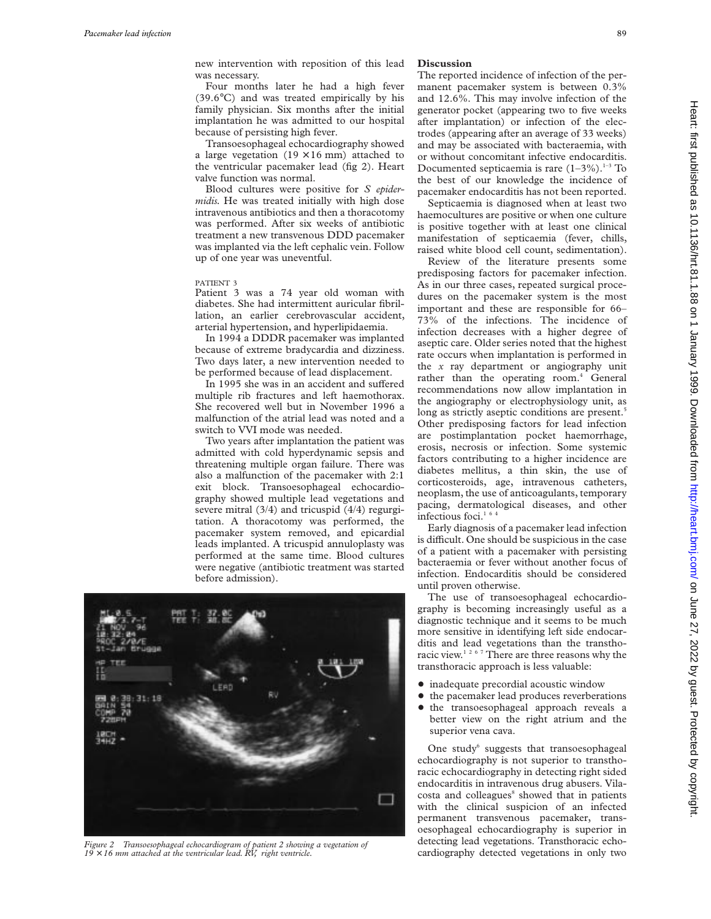new intervention with reposition of this lead was necessary.

Four months later he had a high fever (39.6°C) and was treated empirically by his family physician. Six months after the initial implantation he was admitted to our hospital because of persisting high fever.

Transoesophageal echocardiography showed a large vegetation  $(19 \times 16 \text{ mm})$  attached to the ventricular pacemaker lead (fig 2). Heart valve function was normal.

Blood cultures were positive for *S epidermidis.* He was treated initially with high dose intravenous antibiotics and then a thoracotomy was performed. After six weeks of antibiotic treatment a new transvenous DDD pacemaker was implanted via the left cephalic vein. Follow up of one year was uneventful.

#### PATIENT 3

Patient 3 was a 74 year old woman with diabetes. She had intermittent auricular fibrillation, an earlier cerebrovascular accident, arterial hypertension, and hyperlipidaemia.

In 1994 a DDDR pacemaker was implanted because of extreme bradycardia and dizziness. Two days later, a new intervention needed to be performed because of lead displacement.

In 1995 she was in an accident and suffered multiple rib fractures and left haemothorax. She recovered well but in November 1996 a malfunction of the atrial lead was noted and a switch to VVI mode was needed.

Two years after implantation the patient was admitted with cold hyperdynamic sepsis and threatening multiple organ failure. There was also a malfunction of the pacemaker with 2:1 exit block. Transoesophageal echocardiography showed multiple lead vegetations and severe mitral (3/4) and tricuspid (4/4) regurgitation. A thoracotomy was performed, the pacemaker system removed, and epicardial leads implanted. A tricuspid annuloplasty was performed at the same time. Blood cultures were negative (antibiotic treatment was started before admission).



Figure 2 Transoesophageal echocardiogram of patient 2 showing a vegetation of **Figure 2 Cardiography detected vegetations.** It ansit in only two **Figure 2** Cardiography detected vegetations in only two **Figure 2** Cardiog *19* × *16 mm attached at the ventricular lead. RV, right ventricle.*

### **Discussion**

The reported incidence of infection of the permanent pacemaker system is between 0.3% and 12.6%. This may involve infection of the generator pocket (appearing two to five weeks after implantation) or infection of the electrodes (appearing after an average of 33 weeks) and may be associated with bacteraemia, with or without concomitant infective endocarditis. Documented septicaemia is rare  $(1-3\%)$ .<sup>1-3</sup> To the best of our knowledge the incidence of pacemaker endocarditis has not been reported.

Septicaemia is diagnosed when at least two haemocultures are positive or when one culture is positive together with at least one clinical manifestation of septicaemia (fever, chills, raised white blood cell count, sedimentation).

Review of the literature presents some predisposing factors for pacemaker infection. As in our three cases, repeated surgical procedures on the pacemaker system is the most important and these are responsible for 66– 73% of the infections. The incidence of infection decreases with a higher degree of aseptic care. Older series noted that the highest rate occurs when implantation is performed in the *x* ray department or angiography unit rather than the operating room.<sup>4</sup> General recommendations now allow implantation in the angiography or electrophysiology unit, as long as strictly aseptic conditions are present.<sup>5</sup> Other predisposing factors for lead infection are postimplantation pocket haemorrhage, erosis, necrosis or infection. Some systemic factors contributing to a higher incidence are diabetes mellitus, a thin skin, the use of corticosteroids, age, intravenous catheters, neoplasm, the use of anticoagulants, temporary pacing, dermatological diseases, and other infectious foci.<sup>16</sup>

Early diagnosis of a pacemaker lead infection is difficult. One should be suspicious in the case of a patient with a pacemaker with persisting bacteraemia or fever without another focus of infection. Endocarditis should be considered until proven otherwise.

The use of transoesophageal echocardiography is becoming increasingly useful as a diagnostic technique and it seems to be much more sensitive in identifying left side endocarditis and lead vegetations than the transthoracic view.<sup>1267</sup> There are three reasons why the transthoracic approach is less valuable:

- $\bullet$  inadequate precordial acoustic window
- $\bullet$  the pacemaker lead produces reverberations
- $\bullet$  the transoesophageal approach reveals a better view on the right atrium and the superior vena cava.

One study $6$  suggests that transoesophageal echocardiography is not superior to transthoracic echocardiography in detecting right sided endocarditis in intravenous drug abusers. Vilacosta and colleagues<sup>8</sup> showed that in patients with the clinical suspicion of an infected permanent transvenous pacemaker, transoesophageal echocardiography is superior in detecting lead vegetations. Transthoracic echo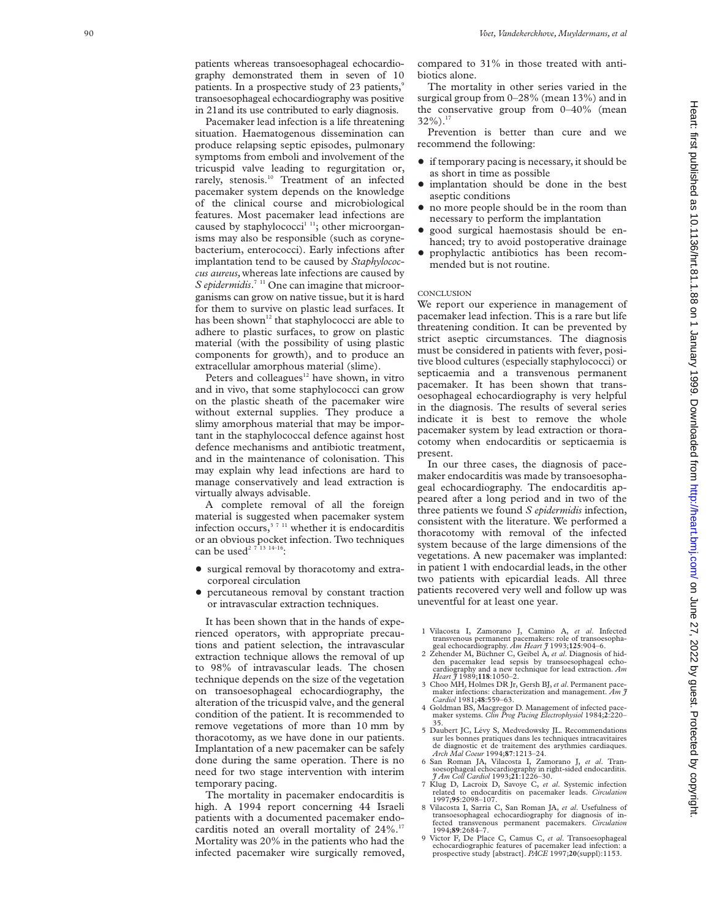patients whereas transoesophageal echocardiography demonstrated them in seven of 10 patients. In a prospective study of 23 patients,<sup>9</sup> transoesophageal echocardiography was positive in 21and its use contributed to early diagnosis.

Pacemaker lead infection is a life threatening situation. Haematogenous dissemination can produce relapsing septic episodes, pulmonary symptoms from emboli and involvement of the tricuspid valve leading to regurgitation or, rarely, stenosis.<sup>10</sup> Treatment of an infected pacemaker system depends on the knowledge of the clinical course and microbiological features. Most pacemaker lead infections are caused by staphylococci<sup>1 11</sup>; other microorganisms may also be responsible (such as corynebacterium, enterococci). Early infections after implantation tend to be caused by *Staphylococcus aureus,*whereas late infections are caused by S epidermidis.<sup>7 11</sup> One can imagine that microorganisms can grow on native tissue, but it is hard for them to survive on plastic lead surfaces. It has been shown<sup>12</sup> that staphylococci are able to adhere to plastic surfaces, to grow on plastic material (with the possibility of using plastic components for growth), and to produce an extracellular amorphous material (slime).

Peters and colleagues<sup>12</sup> have shown, in vitro and in vivo, that some staphylococci can grow on the plastic sheath of the pacemaker wire without external supplies. They produce a slimy amorphous material that may be important in the staphylococcal defence against host defence mechanisms and antibiotic treatment, and in the maintenance of colonisation. This may explain why lead infections are hard to manage conservatively and lead extraction is virtually always advisable.

A complete removal of all the foreign material is suggested when pacemaker system infection occurs, $3711$  whether it is endocarditis or an obvious pocket infection. Two techniques can be used<sup>2 7 13</sup>  $14-16$ :

- surgical removal by thoracotomy and extracorporeal circulation
- + percutaneous removal by constant traction or intravascular extraction techniques.

It has been shown that in the hands of experienced operators, with appropriate precautions and patient selection, the intravascular extraction technique allows the removal of up to 98% of intravascular leads. The chosen technique depends on the size of the vegetation on transoesophageal echocardiography, the alteration of the tricuspid valve, and the general condition of the patient. It is recommended to remove vegetations of more than 10 mm by thoracotomy, as we have done in our patients. Implantation of a new pacemaker can be safely done during the same operation. There is no need for two stage intervention with interim temporary pacing.

The mortality in pacemaker endocarditis is high. A 1994 report concerning 44 Israeli patients with a documented pacemaker endocarditis noted an overall mortality of  $24\%$ .<sup>17</sup> Mortality was 20% in the patients who had the infected pacemaker wire surgically removed,

compared to 31% in those treated with antibiotics alone.

The mortality in other series varied in the surgical group from 0–28% (mean 13%) and in the conservative group from 0–40% (mean 32%).17

Prevention is better than cure and we recommend the following:

- $\bullet$  if temporary pacing is necessary, it should be as short in time as possible
- $\bullet$  implantation should be done in the best aseptic conditions
- no more people should be in the room than necessary to perform the implantation
- good surgical haemostasis should be enhanced; try to avoid postoperative drainage
- + prophylactic antibiotics has been recommended but is not routine.

#### **CONCLUSION**

We report our experience in management of pacemaker lead infection. This is a rare but life threatening condition. It can be prevented by strict aseptic circumstances. The diagnosis must be considered in patients with fever, positive blood cultures (especially staphylococci) or septicaemia and a transvenous permanent pacemaker. It has been shown that transoesophageal echocardiography is very helpful in the diagnosis. The results of several series indicate it is best to remove the whole pacemaker system by lead extraction or thoracotomy when endocarditis or septicaemia is present.

In our three cases, the diagnosis of pacemaker endocarditis was made by transoesophageal echocardiography. The endocarditis appeared after a long period and in two of the three patients we found *S epidermidis* infection, consistent with the literature. We performed a thoracotomy with removal of the infected system because of the large dimensions of the vegetations. A new pacemaker was implanted: in patient 1 with endocardial leads, in the other two patients with epicardial leads. All three patients recovered very well and follow up was uneventful for at least one year.

- 1 Vilacosta I, Zamorano J, Camino A, *et al*. Infected transvenous permanent pacemakers: role of transoesopha-geal echocardiography. *Am Heart J* 1993;**125**:904–6. 2 Zehender M, Büchner C, Geibel A, *et al*. Diagnosis of hid-
- den pacemaker lead sepsis by transoesophageal echocardiography and a new technique for lead extraction. *Am Heart J* 1989;**118**:1050–2.
- 3 Choo MH, Holmes DR Jr, Gersh BJ, *et al*. Permanent pace-maker infections: characterization and management. *Am J Cardiol* 1981;**48**:559–63.
- Goldman BS, Macgregor D. Management of infected pace maker systems. *Clin Prog Pacing Electrophysiol* 1984;**2**:220– 35.
- 5 Daubert JC, Lévy S, Medvedowsky JL. Recommendations sur les bonnes pratiques dans les techniques intracavitaires de diagnostic et de traitement des arythmies cardiaques. *Arch Mal Coeur* 1994;**87**:1213–24.
- 6 San Roman JA, Vilacosta I, Zamorano J, *et al*. Tran-soesophageal echocardiography in right-sided endocarditis. *J Am Coll Cardiol* 1993;**21**:1226–30.
- 7 Klug D, Lacroix D, Savoye C, *et al*. Systemic infection related to endocarditis on pacemaker leads. *Circulation* 1997;**95**:2098–107.
- 8 Vilacosta I, Sarria C, San Roman JA, *et al*. Usefulness of transoesophageal echocardiography for diagnosis of in-fected transvenous permanent pacemakers. *Circulation* 1994;**89**:2684–7.
- 9 Victor F, De Place C, Camus C, *et al*. Transoesophageal echocardiographic features of pacemaker lead infection: a prospective study [abstract]. *PACE* 1997;**20**(suppl):1153.